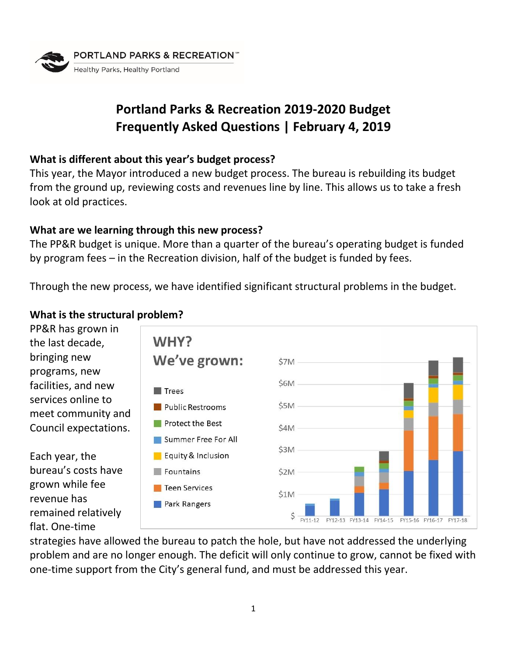

# **Portland Parks & Recreation 2019-2020 Budget Frequently Asked Questions | February 4, 2019**

## **What is different about this year's budget process?**

This year, the Mayor introduced a new budget process. The bureau is rebuilding its budget from the ground up, reviewing costs and revenues line by line. This allows us to take a fresh look at old practices.

## **What are we learning through this new process?**

The PP&R budget is unique. More than a quarter of the bureau's operating budget is funded by program fees – in the Recreation division, half of the budget is funded by fees.

Through the new process, we have identified significant structural problems in the budget.

## **What is the structural problem?**

PP&R has grown in the last decade, bringing new programs, new facilities, and new services online to meet community and Council expectations.

Each year, the bureau's costs have grown while fee revenue has remained relatively flat. One-time



strategies have allowed the bureau to patch the hole, but have not addressed the underlying problem and are no longer enough. The deficit will only continue to grow, cannot be fixed with one-time support from the City's general fund, and must be addressed this year.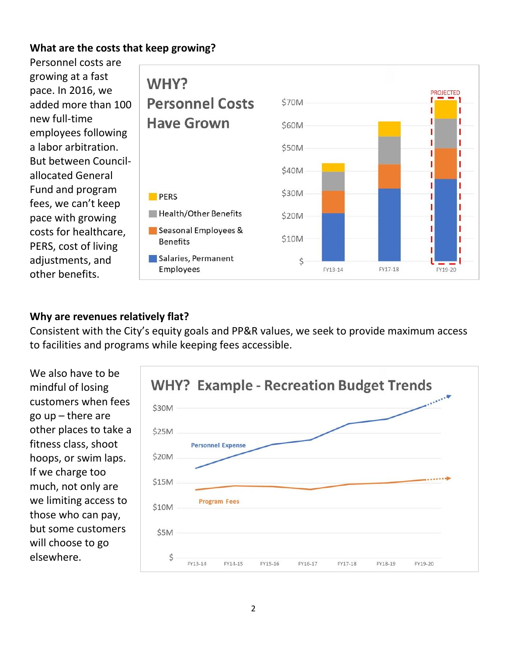## **What are the costs that keep growing?**

Personnel costs are growing at a fast pace. In 2016, we added more than 100 new full-time employees following a labor arbitration. But between Councilallocated General Fund and program fees, we can't keep pace with growing costs for healthcare, PERS, cost of living adjustments, and other benefits.



## **Why are revenues relatively flat?**

Consistent with the City's equity goals and PP&R values, we seek to provide maximum access to facilities and programs while keeping fees accessible.

We also have to be mindful of losing customers when fees go up – there are other places to take a fitness class, shoot hoops, or swim laps. If we charge too much, not only are we limiting access to those who can pay, but some customers will choose to go elsewhere.